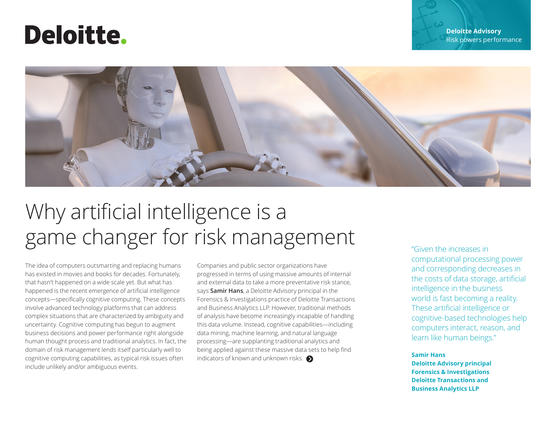# Deloitte.



# Why artificial intelligence is a game changer for risk management

The idea of computers outsmarting and replacing humans has existed in movies and books for decades. Fortunately, that hasn't happened on a wide scale yet. But what has happened is the recent emergence of artificial intelligence concepts—specifically cognitive computing. These concepts involve advanced technology platforms that can address complex situations that are characterized by ambiguity and uncertainty. Cognitive computing has begun to augment business decisions and power performance right alongside human thought process and traditional analytics. In fact, the domain of risk management lends itself particularly well to cognitive computing capabilities, as typical risk issues often include unlikely and/or ambiguous events.

Companies and public sector organizations have progressed in terms of using massive amounts of internal and external data to take a more preventative risk stance, says **[Samir Hans](http://www2.deloitte.com/us/en/profiles/shans.html)**, a Deloitte Advisory principal in the Forensics & Investigations practice of Deloitte Transactions and Business Analytics LLP. However, traditional methods of analysis have become increasingly incapable of handling this data volume. Instead, cognitive capabilities—including data mining, machine learning, and natural language processing—are supplanting traditional analytics and being applied against these massive data sets to help find indicatorsof known and unknown risks.  $\bigcirc$ 

"Given the increases in computational processing power and corresponding decreases in the costs of data storage, artificial intelligence in the business world is fast becoming a reality. These artificial intelligence or cognitive-based technologies help computers interact, reason, and learn like human beings."

## **Samir Hans**

**Deloitte Advisory principal Forensics & Investigations Deloitte Transactions and Business Analytics LLP**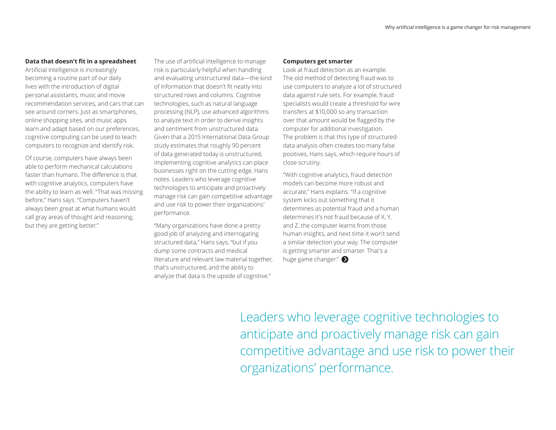## <span id="page-1-0"></span>**Data that doesn't fit in a spreadsheet**

Artificial intelligence is increasingly becoming a routine part of our daily lives with the introduction of digital personal assistants, music and movie recommendation services, and cars that can see around corners. Just as smartphones, online shopping sites, and music apps learn and adapt based on our preferences, cognitive computing can be used to teach computers to recognize and identify risk.

Of course, computers have always been able to perform mechanical calculations faster than humans. The difference is that with cognitive analytics, computers have the ability to learn as well. "That was missing before," Hans says. "Computers haven't always been great at what humans would call gray areas of thought and reasoning, but they are getting better."

The use of artificial intelligence to manage risk is particularly helpful when handling and evaluating unstructured data—the kind of information that doesn't fit neatly into structured rows and columns. Cognitive technologies, such as natural language processing (NLP), use advanced algorithms to analyze text in order to derive insights and sentiment from unstructured data. Given that a 2015 International Data Group study estimates that roughly 90 percent of data generated today is unstructured, implementing cognitive analytics can place businesses right on the cutting edge, Hans notes. Leaders who leverage cognitive technologies to anticipate and proactively manage risk can gain competitive advantage and use risk to power their organizations' performance.

"Many organizations have done a pretty good job of analyzing and interrogating structured data," Hans says, "but if you dump some contracts and medical literature and relevant law material together, that's unstructured, and the ability to analyze that data is the upside of cognitive."

#### **Computers get smarter**

Look at fraud detection as an example. The old method of detecting fraud was to use computers to analyze a lot of structured data against rule sets. For example, fraud specialists would create a threshold for wire transfers at \$10,000 so any transaction over that amount would be flagged by the computer for additional investigation. The problem is that this type of structureddata analysis often creates too many false positives, Hans says, which require hours of close scrutiny.

"With cognitive analytics, fraud detection models can become more robust and accurate," Hans explains. "If a cognitive system kicks out something that it determines as potential fraud and a human determines it's not fraud because of X, Y, and Z, the computer learns from those human insights, and next time it won't send a similar detection your way. The computer is getting smarter and smarter. That's a hugegame changer."

Leaders who leverage cognitive technologies to anticipate and proactively manage risk can gain competitive advantage and use risk to power their organizations' performance.